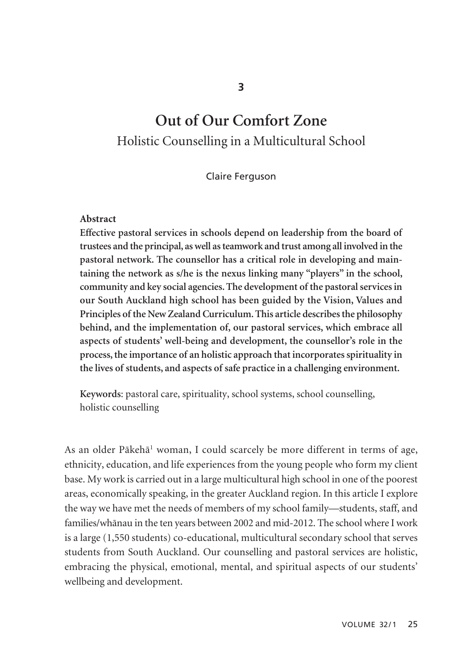# **Out of Our Comfort Zone**  Holistic Counselling in a Multicultural School

Claire Ferguson

## **Abstract**

**Effective pastoral services in schools depend on leadership from the board of trustees and the principal, as well as teamwork and trust among all involved in the pastoral network. The counsellor has a critical role in developing and maintain ing the network as s/he is the nexus linking many "players" in the school, community and key social agencies. The development of the pastoral services in our South Auckland high school has been guided by the Vision, Values and Principles of the New Zealand Curriculum. This article describes the philosophy behind, and the implementation of, our pastoral services, which embrace all aspects of students' well-being and development, the counsellor's role in the process, the importance of an holistic approach that incorporates spirituality in the lives of students, and aspects of safe practice in a challenging environment.**

**Keywords**: pastoral care, spirituality, school systems, school counselling, holistic counselling

As an older Pākehā<sup>1</sup> woman, I could scarcely be more different in terms of age, ethnicity, education, and life experiences from the young people who form my client base. My work is carried out in a large multicultural high school in one of the poorest areas, economically speaking, in the greater Auckland region. In this article I explore the way we have met the needs of members of my school family—students, staff, and families/whänau in the ten years between 2002 and mid-2012. The school where I work is a large (1,550 students) co-educational, multicultural secondary school that serves students from South Auckland. Our counselling and pastoral services are holistic, embracing the physical, emotional, mental, and spiritual aspects of our students' wellbeing and development.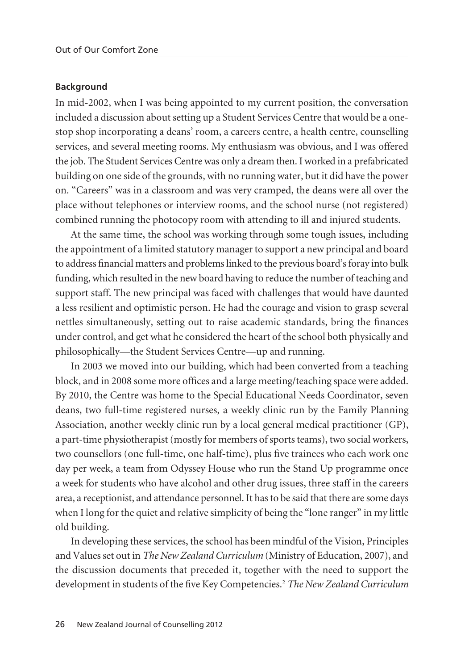#### **Background**

In mid-2002, when I was being appointed to my current position, the conversation included a discussion about setting up a Student Services Centre that would be a onestop shop incorporating a deans' room, a careers centre, a health centre, counselling services, and several meeting rooms. My enthusiasm was obvious, and I was offered the job. The Student Services Centre was only a dream then. I worked in a prefabricated building on one side of the grounds, with no running water, but it did have the power on. "Careers" was in a classroom and was very cramped, the deans were all over the place without telephones or interview rooms, and the school nurse (not registered) combined running the photocopy room with attending to ill and injured students.

At the same time, the school was working through some tough issues, including the appointment of a limited statutory manager to support a new principal and board to address financial matters and problems linked to the previous board's foray into bulk funding, which resulted in the new board having to reduce the number of teaching and support staff. The new principal was faced with challenges that would have daunted a less resilient and optimistic person. He had the courage and vision to grasp several nettles simultaneously, setting out to raise academic standards, bring the finances under control, and get what he considered the heart of the school both physically and philosophically—the Student Services Centre—up and running.

In 2003 we moved into our building, which had been converted from a teaching block, and in 2008 some more offices and a large meeting/teaching space were added. By 2010, the Centre was home to the Special Educational Needs Coordinator, seven deans, two full-time registered nurses, a weekly clinic run by the Family Planning Association, another weekly clinic run by a local general medical practitioner (GP), a part-time physiotherapist (mostly for members of sports teams), two social workers, two counsellors (one full-time, one half-time), plus five trainees who each work one day per week, a team from Odyssey House who run the Stand Up programme once a week for students who have alcohol and other drug issues, three staff in the careers area, a receptionist, and attendance personnel. It has to be said that there are some days when I long for the quiet and relative simplicity of being the "lone ranger" in my little old building.

In developing these services, the school has been mindful of the Vision, Principles and Values set out in *The New Zealand Curriculum* (Ministry of Education, 2007), and the discussion documents that preceded it, together with the need to support the development in students of the five Key Competencies.2 *The New Zealand Curriculum*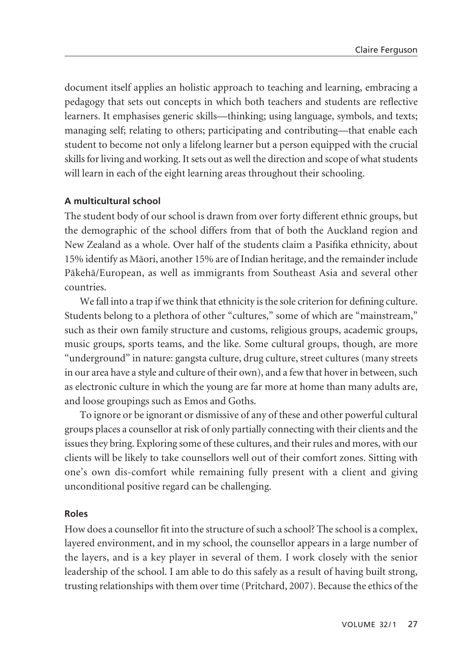document itself applies an holistic approach to teaching and learning, embracing a pedagogy that sets out concepts in which both teachers and students are reflective learners. It emphasises generic skills—thinking; using language, symbols, and texts; managing self; relating to others; participating and contributing—that enable each student to become not only a lifelong learner but a person equipped with the crucial skills for living and working. It sets out as well the direction and scope of what students will learn in each of the eight learning areas throughout their schooling.

## **A multicultural school**

The student body of our school is drawn from over forty different ethnic groups, but the demographic of the school differs from that of both the Auckland region and New Zealand as a whole. Over half of the students claim a Pasifika ethnicity, about 15% identify as Mäori, another 15% are of Indian heritage, and the remainder include Päkehä/European, as well as immigrants from Southeast Asia and several other countries.

We fall into a trap if we think that ethnicity is the sole criterion for defining culture. Students belong to a plethora of other "cultures," some of which are "mainstream," such as their own family structure and customs, religious groups, academic groups, music groups, sports teams, and the like. Some cultural groups, though, are more "underground" in nature: gangsta culture, drug culture, street cultures (many streets in our area have a style and culture of their own), and a few that hover in between, such as electronic culture in which the young are far more at home than many adults are, and loose groupings such as Emos and Goths.

To ignore or be ignorant or dismissive of any of these and other powerful cultural groups places a counsellor at risk of only partially connecting with their clients and the issues they bring. Exploring some of these cultures, and their rules and mores, with our clients will be likely to take counsellors well out of their comfort zones. Sitting with one's own dis-comfort while remaining fully present with a client and giving unconditional positive regard can be challenging.

#### **Roles**

How does a counsellor fit into the structure of such a school? The school is a complex, layered environment, and in my school, the counsellor appears in a large number of the layers, and is a key player in several of them. I work closely with the senior leadership of the school. I am able to do this safely as a result of having built strong, trusting relationships with them over time (Pritchard, 2007). Because the ethics of the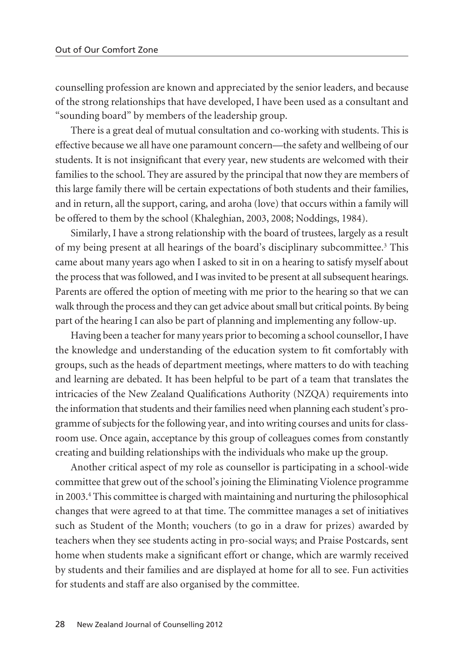counselling profession are known and appreciated by the senior leaders, and because of the strong relationships that have developed, I have been used as a consultant and "sounding board" by members of the leadership group.

There is a great deal of mutual consultation and co-working with students. This is effective because we all have one paramount concern—the safety and wellbeing of our students. It is not insignificant that every year, new students are welcomed with their families to the school. They are assured by the principal that now they are members of this large family there will be certain expectations of both students and their families, and in return, all the support, caring, and aroha (love) that occurs within a family will be offered to them by the school (Khaleghian, 2003, 2008; Noddings, 1984).

Similarly, I have a strong relationship with the board of trustees, largely as a result of my being present at all hearings of the board's disciplinary subcommittee.3 This came about many years ago when I asked to sit in on a hearing to satisfy myself about the process that was followed, and I was invited to be present at all subsequent hearings. Parents are offered the option of meeting with me prior to the hearing so that we can walk through the process and they can get advice about small but critical points. By being part of the hearing I can also be part of planning and implementing any follow-up.

Having been a teacher for many years prior to becoming a school counsellor, I have the knowledge and understanding of the education system to fit comfortably with groups, such as the heads of department meetings, where matters to do with teaching and learning are debated. It has been helpful to be part of a team that translates the intricacies of the New Zealand Qualifications Authority (NZQA) requirements into the information that students and their families need when planning each student's programme of subjects for the following year, and into writing courses and units for classroom use. Once again, acceptance by this group of colleagues comes from constantly creating and building relationships with the individuals who make up the group.

Another critical aspect of my role as counsellor is participating in a school-wide committee that grew out of the school's joining the Eliminating Violence programme in 2003.4 This committee is charged with maintaining and nurturing the philosophical changes that were agreed to at that time. The committee manages a set of initiatives such as Student of the Month; vouchers (to go in a draw for prizes) awarded by teachers when they see students acting in pro-social ways; and Praise Postcards, sent home when students make a significant effort or change, which are warmly received by students and their families and are displayed at home for all to see. Fun activities for students and staff are also organised by the committee.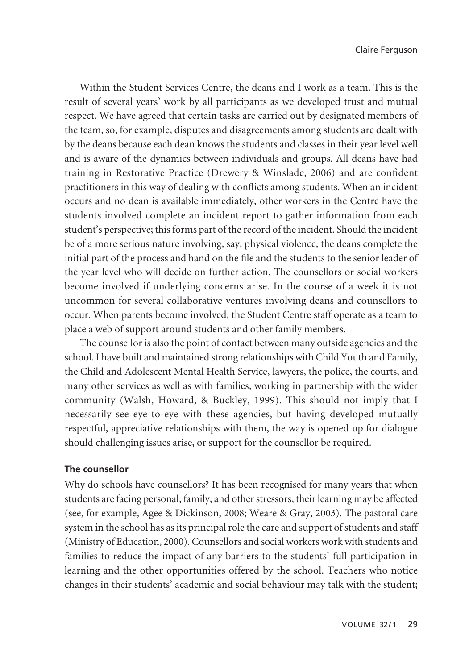Within the Student Services Centre, the deans and I work as a team. This is the result of several years' work by all participants as we developed trust and mutual respect. We have agreed that certain tasks are carried out by designated members of the team, so, for example, disputes and disagreements among students are dealt with by the deans because each dean knows the students and classes in their year level well and is aware of the dynamics between individuals and groups. All deans have had training in Restorative Practice (Drewery & Winslade, 2006) and are confident practitioners in this way of dealing with conflicts among students. When an incident occurs and no dean is available immediately, other workers in the Centre have the students involved complete an incident report to gather information from each student's perspective; this forms part of the record of the incident. Should the incident be of a more serious nature involving, say, physical violence, the deans complete the initial part of the process and hand on the file and the students to the senior leader of the year level who will decide on further action. The counsellors or social workers become involved if underlying concerns arise. In the course of a week it is not uncommon for several collaborative ventures involving deans and counsellors to occur. When parents become involved, the Student Centre staff operate as a team to place a web of support around students and other family members.

The counsellor is also the point of contact between many outside agencies and the school. I have built and maintained strong relationships with Child Youth and Family, the Child and Adolescent Mental Health Service, lawyers, the police, the courts, and many other services as well as with families, working in partnership with the wider community (Walsh, Howard, & Buckley, 1999). This should not imply that I necessarily see eye-to-eye with these agencies, but having developed mutually respectful, appreciative relationships with them, the way is opened up for dialogue should challenging issues arise, or support for the counsellor be required.

#### **The counsellor**

Why do schools have counsellors? It has been recognised for many years that when students are facing personal, family, and other stressors, their learning may be affected (see, for example, Agee & Dickinson, 2008; Weare & Gray, 2003). The pastoral care system in the school has as its principal role the care and support of students and staff (Ministry of Education, 2000). Counsellors and social workers work with students and families to reduce the impact of any barriers to the students' full participation in learning and the other opportunities offered by the school. Teachers who notice changes in their students' academic and social behaviour may talk with the student;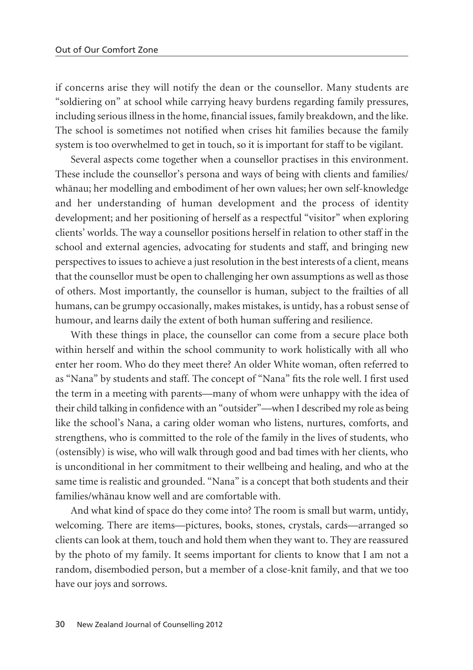if concerns arise they will notify the dean or the counsellor. Many students are "soldiering on" at school while carrying heavy burdens regarding family pressures, including serious illness in the home, financial issues, family breakdown, and the like. The school is sometimes not notified when crises hit families because the family system is too overwhelmed to get in touch, so it is important for staff to be vigilant.

Several aspects come together when a counsellor practises in this environment. These include the counsellor's persona and ways of being with clients and families/ whänau; her modelling and embodiment of her own values; her own self-knowledge and her understanding of human development and the process of identity development; and her positioning of herself as a respectful "visitor" when exploring clients' worlds. The way a counsellor positions herself in relation to other staff in the school and external agencies, advocating for students and staff, and bringing new perspectives to issues to achieve a just resolution in the best interests of a client, means that the counsellor must be open to challenging her own assumptions as well as those of others. Most importantly, the counsellor is human, subject to the frailties of all humans, can be grumpy occasionally, makes mistakes, is untidy, has a robust sense of humour, and learns daily the extent of both human suffering and resilience.

With these things in place, the counsellor can come from a secure place both within herself and within the school community to work holistically with all who enter her room. Who do they meet there? An older White woman, often referred to as "Nana" by students and staff. The concept of "Nana" fits the role well. I first used the term in a meeting with parents—many of whom were unhappy with the idea of their child talking in confidence with an "outsider"—when I described my role as being like the school's Nana, a caring older woman who listens, nurtures, comforts, and strengthens, who is committed to the role of the family in the lives of students, who (ostensibly) is wise, who will walk through good and bad times with her clients, who is unconditional in her commitment to their wellbeing and healing, and who at the same time is realistic and grounded. "Nana" is a concept that both students and their families/whänau know well and are comfortable with.

And what kind of space do they come into? The room is small but warm, untidy, welcoming. There are items—pictures, books, stones, crystals, cards—arranged so clients can look at them, touch and hold them when they want to. They are reassured by the photo of my family. It seems important for clients to know that I am not a random, disembodied person, but a member of a close-knit family, and that we too have our joys and sorrows.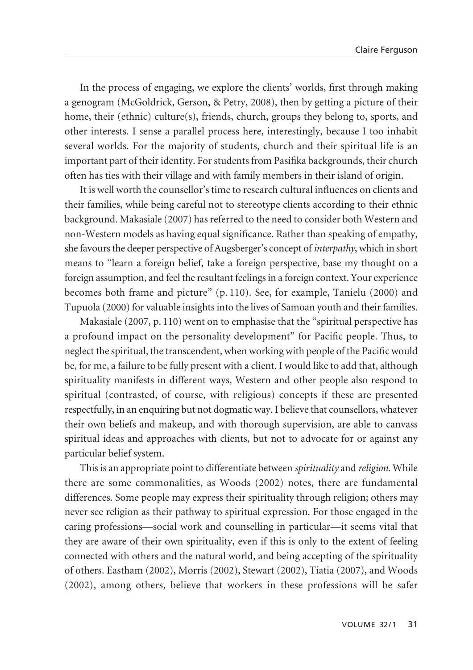In the process of engaging, we explore the clients' worlds, first through making a genogram (McGoldrick, Gerson, & Petry, 2008), then by getting a picture of their home, their (ethnic) culture(s), friends, church, groups they belong to, sports, and other interests. I sense a parallel process here, interestingly, because I too inhabit several worlds. For the majority of students, church and their spiritual life is an important part of their identity. For students from Pasifika backgrounds, their church often has ties with their village and with family members in their island of origin.

It is well worth the counsellor's time to research cultural influences on clients and their families, while being careful not to stereotype clients according to their ethnic background. Makasiale (2007) has referred to the need to consider both Western and non-Western models as having equal significance. Rather than speaking of empathy, she favours the deeper perspective of Augsberger's concept of *interpathy*, which in short means to "learn a foreign belief, take a foreign perspective, base my thought on a foreign assumption, and feel the resultant feelings in a foreign context. Your experience becomes both frame and picture" (p. 110). See, for example, Tanielu (2000) and Tupuola (2000) for valuable insights into the lives of Samoan youth and their families.

Makasiale (2007, p. 110) went on to emphasise that the "spiritual perspective has a profound impact on the personality development" for Pacific people. Thus, to neglect the spiritual, the transcendent, when working with people of the Pacific would be, for me, a failure to be fully present with a client. I would like to add that, although spirituality manifests in different ways, Western and other people also respond to spiritual (contrasted, of course, with religious) concepts if these are presented respectfully, in an enquiring but not dogmatic way. I believe that counsellors, whatever their own beliefs and makeup, and with thorough supervision, are able to canvass spiritual ideas and approaches with clients, but not to advocate for or against any particular belief system.

This is an appropriate point to differentiate between *spirituality* and *religion*. While there are some commonalities, as Woods (2002) notes, there are fundamental differences. Some people may express their spirituality through religion; others may never see religion as their pathway to spiritual expression. For those engaged in the caring professions—social work and counselling in particular—it seems vital that they are aware of their own spirituality, even if this is only to the extent of feeling connected with others and the natural world, and being accepting of the spirituality of others. Eastham (2002), Morris (2002), Stewart (2002), Tiatia (2007), and Woods (2002), among others, believe that workers in these professions will be safer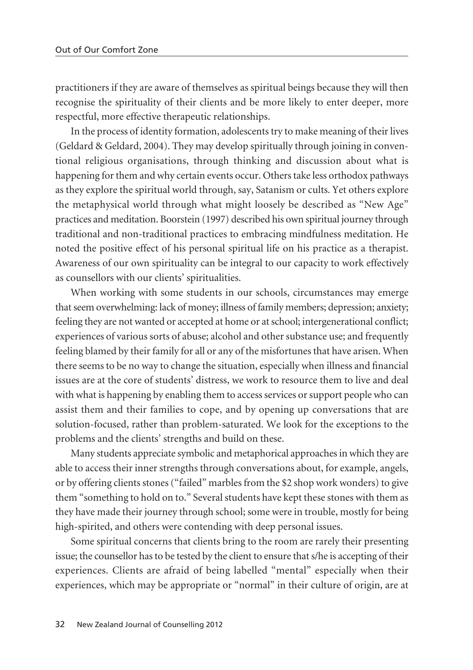practitioners if they are aware of themselves as spiritual beings because they will then recognise the spirituality of their clients and be more likely to enter deeper, more respectful, more effective therapeutic relationships.

In the process of identity formation, adolescents try to make meaning of their lives (Geldard & Geldard, 2004). They may develop spiritually through joining in conven tional religious organisations, through thinking and discussion about what is happening for them and why certain events occur. Others take less orthodox pathways as they explore the spiritual world through, say, Satanism or cults. Yet others explore the metaphysical world through what might loosely be described as "New Age" practices and meditation. Boorstein (1997) described his own spiritual journey through traditional and non-traditional practices to embracing mindfulness meditation. He noted the positive effect of his personal spiritual life on his practice as a therapist. Awareness of our own spirituality can be integral to our capacity to work effectively as counsellors with our clients' spiritualities.

When working with some students in our schools, circumstances may emerge that seem overwhelming: lack of money; illness of family members; depression; anxiety; feeling they are not wanted or accepted at home or at school; intergenerational conflict; experiences of various sorts of abuse; alcohol and other substance use; and frequently feeling blamed by their family for all or any of the misfortunes that have arisen. When there seems to be no way to change the situation, especially when illness and financial issues are at the core of students' distress, we work to resource them to live and deal with what is happening by enabling them to access services or support people who can assist them and their families to cope, and by opening up conversations that are solution-focused, rather than problem-saturated. We look for the exceptions to the problems and the clients' strengths and build on these.

Many students appreciate symbolic and metaphorical approaches in which they are able to access their inner strengths through conversations about, for example, angels, or by offering clients stones ("failed" marbles from the \$2 shop work wonders) to give them "something to hold on to." Several students have kept these stones with them as they have made their journey through school; some were in trouble, mostly for being high-spirited, and others were contending with deep personal issues.

Some spiritual concerns that clients bring to the room are rarely their presenting issue; the counsellor has to be tested by the client to ensure that s/he is accepting of their experiences. Clients are afraid of being labelled "mental" especially when their experiences, which may be appropriate or "normal" in their culture of origin, are at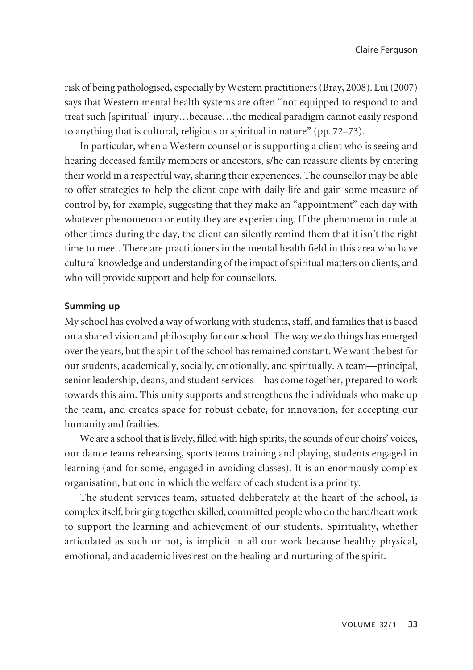risk of being pathologised, especially by Western practitioners (Bray, 2008). Lui (2007) says that Western mental health systems are often "not equipped to respond to and treat such [spiritual] injury…because…the medical paradigm cannot easily respond to anything that is cultural, religious or spiritual in nature" (pp. 72–73).

In particular, when a Western counsellor is supporting a client who is seeing and hearing deceased family members or ancestors, s/he can reassure clients by entering their world in a respectful way, sharing their experiences. The counsellor may be able to offer strategies to help the client cope with daily life and gain some measure of control by, for example, suggesting that they make an "appointment" each day with whatever phenomenon or entity they are experiencing. If the phenomena intrude at other times during the day, the client can silently remind them that it isn't the right time to meet. There are practitioners in the mental health field in this area who have cultural knowledge and understanding of the impact of spiritual matters on clients, and who will provide support and help for counsellors.

#### **Summing up**

My school has evolved a way of working with students, staff, and families that is based on a shared vision and philosophy for our school. The way we do things has emerged over the years, but the spirit of the school has remained constant. We want the best for our students, academically, socially, emotionally, and spiritually. A team—principal, senior leadership, deans, and student services—has come together, prepared to work towards this aim. This unity supports and strengthens the individuals who make up the team, and creates space for robust debate, for innovation, for accepting our humanity and frailties.

We are a school that is lively, filled with high spirits, the sounds of our choirs' voices, our dance teams rehearsing, sports teams training and playing, students engaged in learning (and for some, engaged in avoiding classes). It is an enormously complex organisation, but one in which the welfare of each student is a priority.

The student services team, situated deliberately at the heart of the school, is complex itself, bringing together skilled, committed people who do the hard/heart work to support the learning and achievement of our students. Spirituality, whether articulated as such or not, is implicit in all our work because healthy physical, emotional, and academic lives rest on the healing and nurturing of the spirit.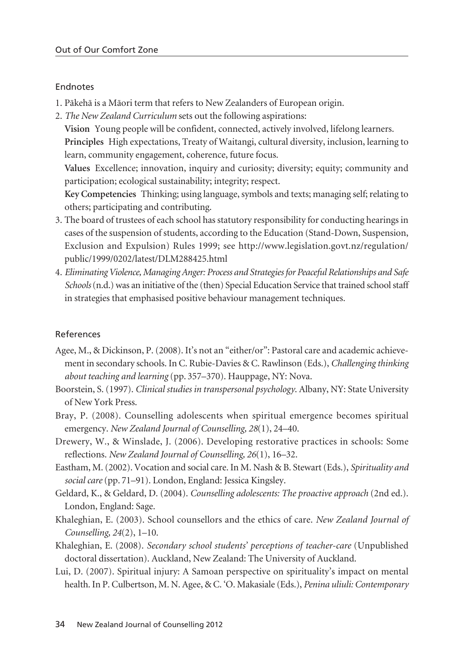## Endnotes

- 1. Päkehä is a Mäori term that refers to New Zealanders of European origin.
- 2. *The New Zealand Curriculum* sets out the following aspirations:
- **Vision** Young people will be confident, connected, actively involved, lifelong learners. **Principles** High expectations, Treaty of Waitangi, cultural diversity, inclusion, learning to learn, community engagement, coherence, future focus. **Values** Excellence; innovation, inquiry and curiosity; diversity; equity; community and participation; ecological sustainability; integrity; respect. **Key Competencies** Thinking; using language, symbols and texts; managing self; relating to others; participating and contributing.
- 3. The board of trustees of each school has statutory responsibility for conducting hearings in cases of the suspension of students, according to the Education (Stand-Down, Suspension, Exclusion and Expulsion) Rules 1999; see http://www.legislation.govt.nz/regulation/ public/1999/0202/latest/DLM288425.html
- 4. *Eliminating Violence, Managing Anger: Process and Strategies for Peaceful Relationships and Safe Schools*(n.d.) was an initiative of the (then) Special Education Service that trained school staff in strategies that emphasised positive behaviour management techniques.

# References

- Agee, M., & Dickinson, P. (2008). It's not an "either/or": Pastoral care and academic achievement in secondary schools. In C. Rubie-Davies & C. Rawlinson (Eds.), *Challenging thinking about teaching and learning* (pp. 357–370). Hauppage, NY: Nova.
- Boorstein, S. (1997). *Clinical studies in transpersonal psychology*. Albany, NY: State University of New York Press.
- Bray, P. (2008). Counselling adolescents when spiritual emergence becomes spiritual emergency. *New Zealand Journal of Counselling, 28*(1), 24–40.
- Drewery, W., & Winslade, J. (2006). Developing restorative practices in schools: Some reflections. *New Zealand Journal of Counselling, 26*(1), 16–32.
- Eastham, M. (2002). Vocation and social care. In M. Nash & B. Stewart (Eds.), *Spirituality and social care* (pp. 71–91). London, England: Jessica Kingsley.
- Geldard, K., & Geldard, D. (2004). *Counselling adolescents: The proactive approach* (2nd ed.). London, England: Sage.
- Khaleghian, E. (2003). School counsellors and the ethics of care. *New Zealand Journal of Counselling, 24*(2), 1–10.
- Khaleghian, E. (2008). *Secondary school students' perceptions of teacher-care* (Unpublished doctoral dissertation). Auckland, New Zealand: The University of Auckland.
- Lui, D. (2007). Spiritual injury: A Samoan perspective on spirituality's impact on mental health. In P. Culbertson, M. N. Agee, & C. 'O. Makasiale (Eds.), *Penina uliuli: Contemporary*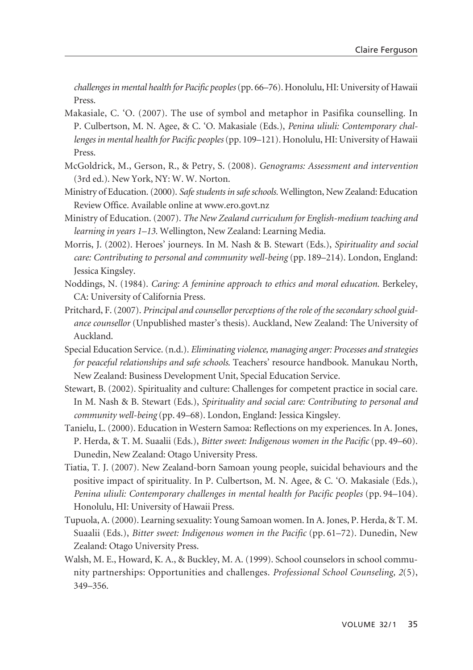*challenges in mental health for Pacific peoples*(pp. 66–76)*.* Honolulu, HI: University of Hawaii Press.

- Makasiale, C. 'O. (2007). The use of symbol and metaphor in Pasifika counselling. In P. Culbertson, M. N. Agee, & C. 'O. Makasiale (Eds.), *Penina uliuli: Contemporary challenges in mental health for Pacific peoples* (pp. 109–121)*.* Honolulu, HI: University of Hawaii Press.
- McGoldrick, M., Gerson, R., & Petry, S. (2008). *Genograms: Assessment and intervention*  (3rd ed.). New York, NY: W. W. Norton.
- Ministry of Education. (2000). *Safe students in safe schools.* Wellington, New Zealand: Education Review Office. Available online at www.ero.govt.nz
- Ministry of Education. (2007). *The New Zealand curriculum for English-medium teaching and learning in years 1–13.* Wellington, New Zealand: Learning Media.
- Morris, J. (2002). Heroes' journeys. In M. Nash & B. Stewart (Eds.), *Spirituality and social care: Contributing to personal and community well-being* (pp. 189–214). London, England: Jessica Kingsley.
- Noddings, N. (1984). *Caring: A feminine approach to ethics and moral education*. Berkeley, CA: University of California Press.
- Pritchard, F. (2007). *Principal and counsellor perceptions of the role of the secondary school guidance counsellor* (Unpublished master's thesis). Auckland, New Zealand: The University of Auckland.
- Special Education Service. (n.d.). *Eliminating violence, managing anger: Processes and strategies for peaceful relationships and safe schools*. Teachers' resource handbook. Manukau North, New Zealand: Business Development Unit, Special Education Service.
- Stewart, B. (2002). Spirituality and culture: Challenges for competent practice in social care. In M. Nash & B. Stewart (Eds.), *Spirituality and social care: Contributing to personal and community well-being* (pp. 49–68). London, England: Jessica Kingsley.
- Tanielu, L. (2000). Education in Western Samoa: Reflections on my experiences. In A. Jones, P. Herda, & T. M. Suaalii (Eds.), *Bitter sweet: Indigenous women in the Pacific* (pp. 49–60)*.* Dunedin, New Zealand: Otago University Press.
- Tiatia, T. J. (2007)*.* New Zealand-born Samoan young people, suicidal behaviours and the positive impact of spirituality. In P. Culbertson, M. N. Agee, & C. 'O. Makasiale (Eds.), *Penina uliuli: Contemporary challenges in mental health for Pacific peoples* (pp. 94–104)*.* Honolulu, HI: University of Hawaii Press.
- Tupuola, A. (2000). Learning sexuality: Young Samoan women. In A. Jones, P. Herda, & T. M. Suaalii (Eds.), *Bitter sweet: Indigenous women in the Pacific* (pp. 61–72)*.* Dunedin, New Zealand: Otago University Press.
- Walsh, M. E., Howard, K. A., & Buckley, M. A. (1999). School counselors in school community partnerships: Opportunities and challenges. *Professional School Counseling, 2*(5), 349–356.